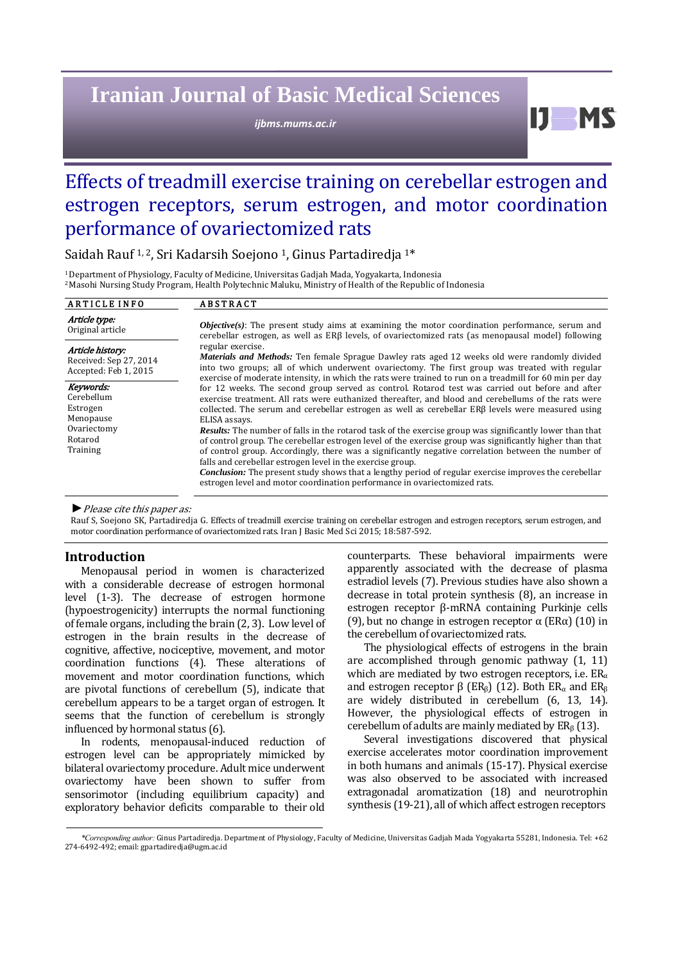# **Iranian Journal of Basic Medical Sciences**

*ijbms.mums.ac.ir*

Effects of treadmill exercise training on cerebellar estrogen and estrogen receptors, serum estrogen, and motor coordination performance of ovariectomized rats

Saidah Rauf<sup>1,2</sup>, Sri Kadarsih Soejono<sup>1</sup>, Ginus Partadiredja<sup>1\*</sup>

<sup>1</sup> Department of Physiology, Faculty of Medicine, Universitas Gadjah Mada, Yogyakarta, Indonesia <sup>2</sup> Masohi Nursing Study Program, Health Polytechnic Maluku, Ministry of Health of the Republic of Indonesia

| <b>ARTICLE INFO</b>                                                 | <b>ABSTRACT</b>                                                                                                                                                                                                                                                                                                                                                                                  |
|---------------------------------------------------------------------|--------------------------------------------------------------------------------------------------------------------------------------------------------------------------------------------------------------------------------------------------------------------------------------------------------------------------------------------------------------------------------------------------|
| Article type:<br>Original article                                   | <b><i>Objective(s)</i></b> : The present study aims at examining the motor coordination performance, serum and<br>cerebellar estrogen, as well as ERB levels, of ovariectomized rats (as menopausal model) following                                                                                                                                                                             |
| Article history:<br>Received: Sep 27, 2014<br>Accepted: Feb 1, 2015 | regular exercise.<br><b>Materials and Methods:</b> Ten female Sprague Dawley rats aged 12 weeks old were randomly divided<br>into two groups; all of which underwent ovariectomy. The first group was treated with regular<br>exercise of moderate intensity, in which the rats were trained to run on a treadmill for 60 min per day                                                            |
| Keywords:<br>Cerebellum<br>Estrogen<br>Menopause                    | for 12 weeks. The second group served as control. Rotarod test was carried out before and after<br>exercise treatment. All rats were euthanized thereafter, and blood and cerebellums of the rats were<br>collected. The serum and cerebellar estrogen as well as cerebellar $ER\beta$ levels were measured using<br>ELISA assays.                                                               |
| Ovariectomy<br>Rotarod<br>Training                                  | <b>Results:</b> The number of falls in the rotarod task of the exercise group was significantly lower than that<br>of control group. The cerebellar estrogen level of the exercise group was significantly higher than that<br>of control group. Accordingly, there was a significantly negative correlation between the number of<br>falls and cerebellar estrogen level in the exercise group. |
|                                                                     | Conclusion: The present study shows that a lengthy period of regular exercise improves the cerebellar<br>estrogen level and motor coordination performance in ovariectomized rats.                                                                                                                                                                                                               |

▶ *Please cite this paper as:* 

Rauf S, Soejono SK, Partadiredja G. Effects of treadmill exercise training on cerebellar estrogen and estrogen receptors, serum estrogen, and motor coordination performance of ovariectomized rats. Iran J Basic Med Sci 2015; 18:587-592.

## **Introduction**

Menopausal period in women is characterized with a considerable decrease of estrogen hormonal level (1-3). The decrease of estrogen hormone (hypoestrogenicity) interrupts the normal functioning of female organs, including the brain  $(2, 3)$ . Low level of estrogen in the brain results in the decrease of cognitive, affective, nociceptive, movement, and motor coordination functions (4). These alterations of movement and motor coordination functions, which are pivotal functions of cerebellum  $(5)$ , indicate that cerebellum appears to be a target organ of estrogen. It seems that the function of cerebellum is strongly influenced by hormonal status (6).

In rodents, menopausal-induced reduction of estrogen level can be appropriately mimicked by bilateral ovariectomy procedure. Adult mice underwent ovariectomy have been shown to suffer from sensorimotor (including equilibrium capacity) and exploratory behavior deficits comparable to their old 

counterparts. These behavioral impairments were apparently associated with the decrease of plasma estradiol levels (7). Previous studies have also shown a decrease in total protein synthesis  $(8)$ , an increase in estrogen receptor β-mRNA containing Purkinje cells (9), but no change in estrogen receptor  $\alpha$  (ER $\alpha$ ) (10) in the cerebellum of ovariectomized rats.

 $\mathbf{D}$ 

The physiological effects of estrogens in the brain are accomplished through genomic pathway  $(1, 11)$ which are mediated by two estrogen receptors, i.e.  $ER_{\alpha}$ and estrogen receptor  $\beta$  (ER<sub>β</sub>) (12). Both ER<sub>α</sub> and ER<sub>β</sub> are widely distributed in cerebellum (6, 13, 14). However, the physiological effects of estrogen in cerebellum of adults are mainly mediated by  $ER_8(13)$ .

Several investigations discovered that physical exercise accelerates motor coordination improvement in both humans and animals (15-17). Physical exercise was also observed to be associated with increased extragonadal aromatization (18) and neurotrophin synthesis (19-21), all of which affect estrogen receptors

<sup>\*</sup>Corresponding author: Ginus Partadiredja. Department of Physiology, Faculty of Medicine, Universitas Gadjah Mada Yogyakarta 55281, Indonesia. Tel: +62 274-6492-492; email: gpartadiredia@ugm.ac.id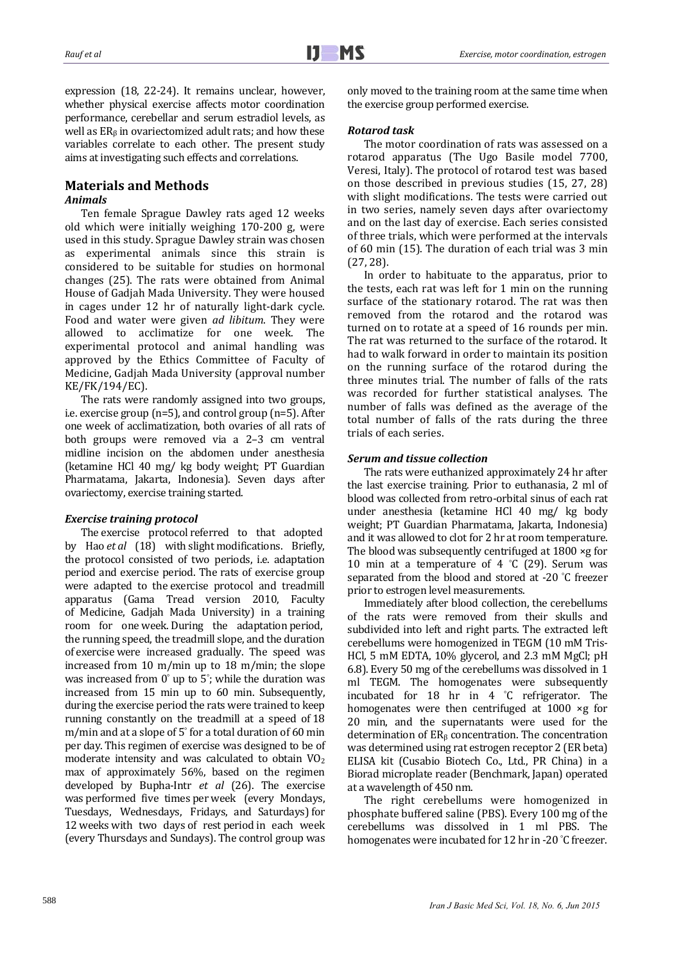expression (18, 22-24). It remains unclear, however, whether physical exercise affects motor coordination performance, cerebellar and serum estradiol levels, as well as  $ER_8$  in ovariectomized adult rats; and how these variables correlate to each other. The present study aims at investigating such effects and correlations.

## **Materials and Methods**

## *Animals*

Ten female Sprague Dawley rats aged 12 weeks old which were initially weighing 170-200 g, were used in this study. Sprague Dawley strain was chosen as experimental animals since this strain is considered to be suitable for studies on hormonal changes (25). The rats were obtained from Animal House of Gadjah Mada University. They were housed in cages under 12 hr of naturally light-dark cycle. Food and water were given *ad libitum*. They were allowed to acclimatize for one week. The experimental protocol and animal handling was approved by the Ethics Committee of Faculty of Medicine, Gadjah Mada University (approval number KE/FK/194/EC). 

The rats were randomly assigned into two groups, i.e. exercise group  $(n=5)$ , and control group  $(n=5)$ . After one week of acclimatization, both ovaries of all rats of both groups were removed via a 2-3 cm ventral midline incision on the abdomen under anesthesia (ketamine HCl 40 mg/ kg body weight; PT Guardian Pharmatama, Jakarta, Indonesia). Seven days after ovariectomy, exercise training started.

## *Exercise training protocol*

The exercise protocol referred to that adopted by Hao *et al* (18) with slight modifications. Briefly, the protocol consisted of two periods, i.e. adaptation period and exercise period. The rats of exercise group were adapted to the exercise protocol and treadmill apparatus (Gama Tread version 2010, Faculty of Medicine, Gadjah Mada University) in a training room for one week. During the adaptation period, the running speed, the treadmill slope, and the duration of exercise were increased gradually. The speed was increased from 10 m/min up to 18 m/min; the slope was increased from  $0^{\circ}$  up to  $5^{\circ}$ ; while the duration was increased from 15 min up to 60 min. Subsequently, during the exercise period the rats were trained to keep running constantly on the treadmill at a speed of 18 m/min and at a slope of  $5^{\circ}$  for a total duration of 60 min per day. This regimen of exercise was designed to be of moderate intensity and was calculated to obtain  $VO<sub>2</sub>$ max of approximately 56%, based on the regimen developed by Bupha-Intr *et al* (26). The exercise was performed five times per week (every Mondays, Tuesdays, Wednesdays, Fridays, and Saturdays) for 12 weeks with two days of rest period in each week (every Thursdays and Sundays). The control group was

only moved to the training room at the same time when the exercise group performed exercise.

## *Rotarod task*

The motor coordination of rats was assessed on a rotarod apparatus (The Ugo Basile model 7700, Veresi, Italy). The protocol of rotarod test was based on those described in previous studies (15, 27, 28) with slight modifications. The tests were carried out in two series, namely seven days after ovariectomy and on the last day of exercise. Each series consisted of three trials, which were performed at the intervals of 60 min (15). The duration of each trial was 3 min  $(27, 28)$ .

In order to habituate to the apparatus, prior to the tests, each rat was left for  $1$  min on the running surface of the stationary rotarod. The rat was then removed from the rotarod and the rotarod was turned on to rotate at a speed of 16 rounds per min. The rat was returned to the surface of the rotarod. It had to walk forward in order to maintain its position on the running surface of the rotarod during the three minutes trial. The number of falls of the rats was recorded for further statistical analyses. The number of falls was defined as the average of the total number of falls of the rats during the three trials of each series.

## *Serum and tissue collection*

The rats were euthanized approximately 24 hr after the last exercise training. Prior to euthanasia, 2 ml of blood was collected from retro-orbital sinus of each rat under anesthesia (ketamine HCl 40 mg/ kg body weight; PT Guardian Pharmatama, Jakarta, Indonesia) and it was allowed to clot for 2 hr at room temperature. The blood was subsequently centrifuged at  $1800 \times g$  for 10 min at a temperature of 4  $°C$  (29). Serum was separated from the blood and stored at -20 $\degree$ C freezer prior to estrogen level measurements.

Immediately after blood collection, the cerebellums of the rats were removed from their skulls and subdivided into left and right parts. The extracted left cerebellums were homogenized in TEGM (10 mM Tris-HCl, 5 mM EDTA, 10% glycerol, and 2.3 mM MgCl; pH 6.8). Every 50 mg of the cerebellums was dissolved in 1 ml TEGM. The homogenates were subsequently incubated for 18 hr in 4  $°C$  refrigerator. The homogenates were then centrifuged at  $1000 \times g$  for 20 min, and the supernatants were used for the determination of  $ER_8$  concentration. The concentration was determined using rat estrogen receptor 2 (ER beta) ELISA kit (Cusabio Biotech Co., Ltd., PR China) in a Biorad microplate reader (Benchmark, Japan) operated at a wavelength of 450 nm.

The right cerebellums were homogenized in phosphate buffered saline (PBS). Every 100 mg of the cerebellums was dissolved in 1 ml PBS. The homogenates were incubated for 12 hr in -20 °C freezer.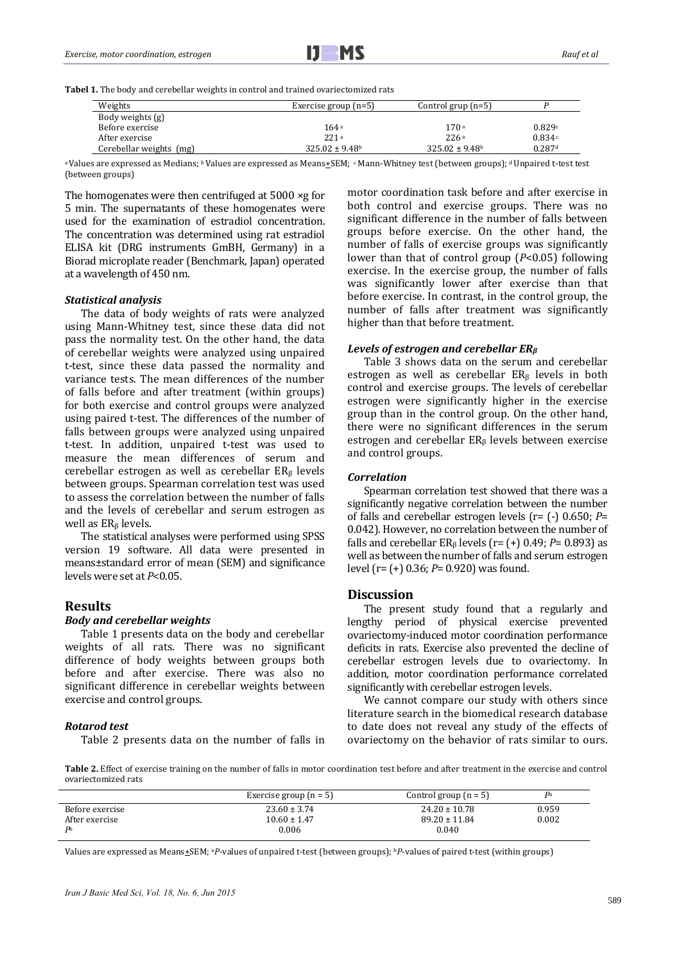

Tabel 1. The body and cerebellar weights in control and trained ovariectomized rats

| Weights                 | Exercise group $(n=5)$ | Control grup $(n=5)$ |                      |
|-------------------------|------------------------|----------------------|----------------------|
| Body weights (g)        |                        |                      |                      |
| Before exercise         | 164a                   | 170a                 | 0.829c               |
| After exercise          | 221a                   | 226a                 | 0.834c               |
| Cerebellar weights (mg) | $325.02 \pm 9.48$      | $325.02 \pm 9.48$    | $0.287$ <sup>d</sup> |

a Values are expressed as Medians; b Values are expressed as Means±SEM; c Mann-Whitney test (between groups); d Unpaired t-test test (between groups)

The homogenates were then centrifuged at  $5000 \times g$  for 5 min. The supernatants of these homogenates were used for the examination of estradiol concentration. The concentration was determined using rat estradiol ELISA kit (DRG instruments GmBH, Germany) in a Biorad microplate reader (Benchmark, Japan) operated at a wavelength of 450 nm.

#### *Statistical analysis*

The data of body weights of rats were analyzed using Mann-Whitney test, since these data did not pass the normality test. On the other hand, the data of cerebellar weights were analyzed using unpaired t-test, since these data passed the normality and variance tests. The mean differences of the number of falls before and after treatment (within groups) for both exercise and control groups were analyzed using paired t-test. The differences of the number of falls between groups were analyzed using unpaired t-test. In addition, unpaired t-test was used to measure the mean differences of serum and cerebellar estrogen as well as cerebellar  $ER<sub>8</sub>$  levels between groups. Spearman correlation test was used to assess the correlation between the number of falls and the levels of cerebellar and serum estrogen as well as ER<sub>β</sub> levels.

The statistical analyses were performed using SPSS version 19 software. All data were presented in means±standard error of mean (SEM) and significance levels were set at  $P<0.05$ .

#### **Results**

#### *Body and cerebellar weights*

Table 1 presents data on the body and cerebellar weights of all rats. There was no significant difference of body weights between groups both before and after exercise. There was also no significant difference in cerebellar weights between exercise and control groups.

#### *Rotarod test*

Table 2 presents data on the number of falls in

motor coordination task before and after exercise in both control and exercise groups. There was no significant difference in the number of falls between groups before exercise. On the other hand, the number of falls of exercise groups was significantly lower than that of control group  $(P<0.05)$  following exercise. In the exercise group, the number of falls was significantly lower after exercise than that before exercise. In contrast, in the control group, the number of falls after treatment was significantly higher than that before treatment.

#### *Levels of estrogen and cerebellar ER*<sup>*β*</sup>

Table 3 shows data on the serum and cerebellar estrogen as well as cerebellar  $ER<sub>β</sub>$  levels in both control and exercise groups. The levels of cerebellar estrogen were significantly higher in the exercise group than in the control group. On the other hand, there were no significant differences in the serum estrogen and cerebellar  $ER<sub>β</sub>$  levels between exercise and control groups.

#### *Correlation*

Spearman correlation test showed that there was a significantly negative correlation between the number of falls and cerebellar estrogen levels  $(r= (-) 0.650; P=$ 0.042). However, no correlation between the number of falls and cerebellar  $ER_8$  levels (r=  $(+)$  0.49; *P*= 0.893) as well as between the number of falls and serum estrogen level (r= (+) 0.36; *P*= 0.920) was found.

### **Discussion**

The present study found that a regularly and lengthy period of physical exercise prevented ovariectomy-induced motor coordination performance deficits in rats. Exercise also prevented the decline of cerebellar estrogen levels due to ovariectomy. In addition, motor coordination performance correlated significantly with cerebellar estrogen levels.

We cannot compare our study with others since literature search in the biomedical research database to date does not reveal any study of the effects of ovariectomy on the behavior of rats similar to ours.

Table 2. Effect of exercise training on the number of falls in motor coordination test before and after treatment in the exercise and control ovariectomized rats

|                 | Exercise group $(n = 5)$ | Control group $(n = 5)$ | $\mathbf{p}_a$ |
|-----------------|--------------------------|-------------------------|----------------|
| Before exercise | $23.60 \pm 3.74$         | $24.20 \pm 10.78$       | 0.959          |
| After exercise  | $10.60 \pm 1.47$         | $89.20 \pm 11.84$       | 0.002          |
| P <sub>b</sub>  | 0.006                    | 0.040                   |                |

Values are expressed as Means+SEM; <sup>a</sup>P-values of unpaired t-test (between groups); <sup>b</sup>P-values of paired t-test (within groups)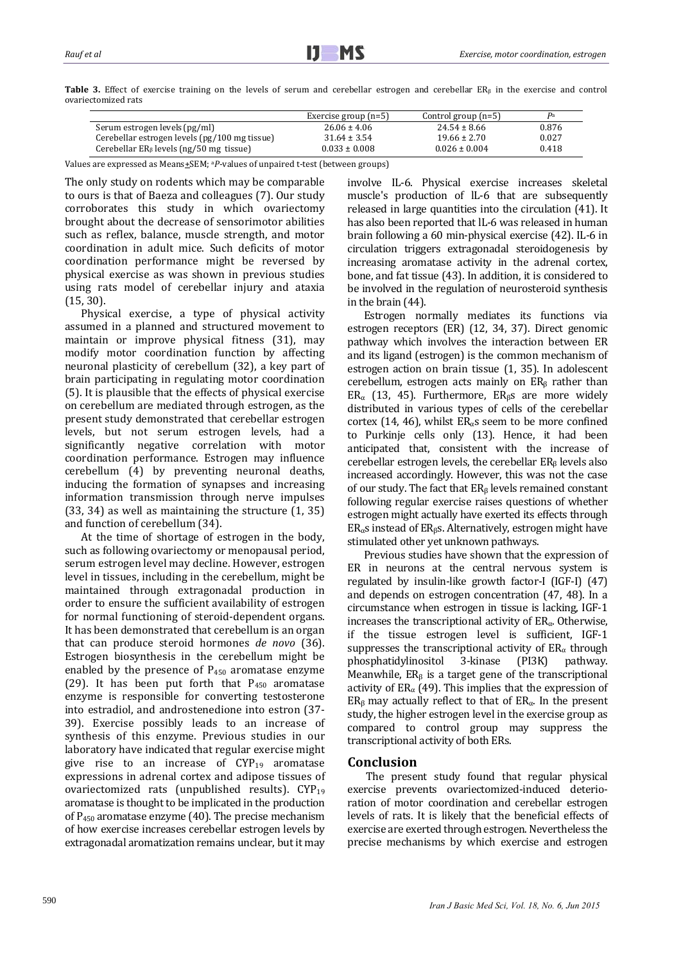Table 3. Effect of exercise training on the levels of serum and cerebellar estrogen and cerebellar ER<sub>β</sub> in the exercise and control ovariectomized rats 

|                                               | Exercise group $(n=5)$ | Control group $(n=5)$ | $\mathbf{p}_a$ |
|-----------------------------------------------|------------------------|-----------------------|----------------|
| Serum estrogen levels (pg/ml)                 | $26.06 \pm 4.06$       | $24.54 \pm 8.66$      | 0.876          |
| Cerebellar estrogen levels (pg/100 mg tissue) | $31.64 \pm 3.54$       | $19.66 \pm 2.70$      | 0.027          |
| Cerebellar $ER_8$ levels (ng/50 mg tissue)    | $0.033 \pm 0.008$      | $0.026 \pm 0.004$     | 0.418          |

Values are expressed as Means+SEM; <sup>a p</sup>-values of unpaired t-test (between groups)

The only study on rodents which may be comparable to ours is that of Baeza and colleagues (7). Our study corroborates this study in which ovariectomy brought about the decrease of sensorimotor abilities such as reflex, balance, muscle strength, and motor coordination in adult mice. Such deficits of motor coordination performance might be reversed by physical exercise as was shown in previous studies using rats model of cerebellar injury and ataxia  $(15, 30)$ .

Physical exercise, a type of physical activity assumed in a planned and structured movement to maintain or improve physical fitness (31), may modify motor coordination function by affecting neuronal plasticity of cerebellum (32), a key part of brain participating in regulating motor coordination (5). It is plausible that the effects of physical exercise on cerebellum are mediated through estrogen, as the present study demonstrated that cerebellar estrogen levels, but not serum estrogen levels, had a significantly negative correlation with motor coordination performance. Estrogen may influence cerebellum (4) by preventing neuronal deaths, inducing the formation of synapses and increasing information transmission through nerve impulses  $(33, 34)$  as well as maintaining the structure  $(1, 35)$ and function of cerebellum (34).

At the time of shortage of estrogen in the body, such as following ovariectomy or menopausal period, serum estrogen level may decline. However, estrogen level in tissues, including in the cerebellum, might be maintained through extragonadal production in order to ensure the sufficient availability of estrogen for normal functioning of steroid-dependent organs. It has been demonstrated that cerebellum is an organ that can produce steroid hormones *de novo* (36). Estrogen biosynthesis in the cerebellum might be enabled by the presence of  $P_{450}$  aromatase enzyme (29). It has been put forth that  $P_{450}$  aromatase enzyme is responsible for converting testosterone into estradiol, and androstenedione into estron (37-39). Exercise possibly leads to an increase of synthesis of this enzyme. Previous studies in our laboratory have indicated that regular exercise might give rise to an increase of  $CYP_{19}$  aromatase expressions in adrenal cortex and adipose tissues of ovariectomized rats (unpublished results).  $CYP_{19}$ aromatase is thought to be implicated in the production of  $P_{450}$  aromatase enzyme (40). The precise mechanism of how exercise increases cerebellar estrogen levels by extragonadal aromatization remains unclear, but it may involve IL-6. Physical exercise increases skeletal muscle's production of IL-6 that are subsequently released in large quantities into the circulation (41). It has also been reported that lL-6 was released in human brain following a 60 min-physical exercise (42). IL-6 in circulation triggers extragonadal steroidogenesis by increasing aromatase activity in the adrenal cortex, bone, and fat tissue (43). In addition, it is considered to be involved in the regulation of neurosteroid synthesis in the brain  $(44)$ .

Estrogen normally mediates its functions via estrogen receptors (ER) (12, 34, 37). Direct genomic pathway which involves the interaction between ER and its ligand (estrogen) is the common mechanism of estrogen action on brain tissue (1, 35). In adolescent cerebellum, estrogen acts mainly on  $ER<sub>β</sub>$  rather than ER<sub>α</sub> (13, 45). Furthermore, ER<sub>β</sub>s are more widely distributed in various types of cells of the cerebellar cortex (14, 46), whilst  $ER_{\alpha}$ s seem to be more confined to Purkinje cells only (13). Hence, it had been anticipated that, consistent with the increase of cerebellar estrogen levels, the cerebellar  $ER_8$  levels also increased accordingly. However, this was not the case of our study. The fact that  $ER_8$  levels remained constant following regular exercise raises questions of whether estrogen might actually have exerted its effects through  $ER_{\alpha}$ s instead of ER<sub>β</sub>s. Alternatively, estrogen might have stimulated other yet unknown pathways.

Previous studies have shown that the expression of ER in neurons at the central nervous system is regulated by insulin-like growth factor-I  $(IGF-I)$   $(47)$ and depends on estrogen concentration (47, 48). In a circumstance when estrogen in tissue is lacking, IGF-1 increases the transcriptional activity of  $ER_{\alpha}$ . Otherwise, if the tissue estrogen level is sufficient. IGF-1 suppresses the transcriptional activity of  $ER_\alpha$  through phosphatidylinositol 3-kinase (PI3K) pathway. Meanwhile,  $ER<sub>β</sub>$  is a target gene of the transcriptional activity of  $ER_\alpha$  (49). This implies that the expression of  $ER_8$  may actually reflect to that of  $ER_\alpha$ . In the present study, the higher estrogen level in the exercise group as compared to control group may suppress the transcriptional activity of both ERs.

## **Conclusion**

The present study found that regular physical exercise prevents ovariectomized-induced deterioration of motor coordination and cerebellar estrogen levels of rats. It is likely that the beneficial effects of exercise are exerted through estrogen. Nevertheless the precise mechanisms by which exercise and estrogen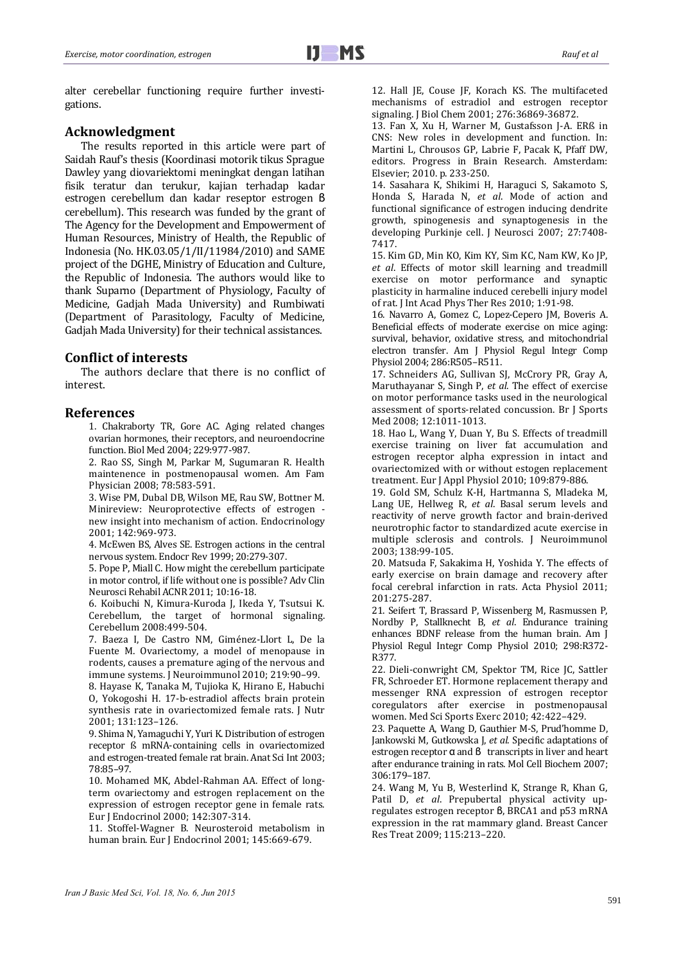alter cerebellar functioning require further investigations. 

## **Acknowledgment**

The results reported in this article were part of Saidah Rauf's thesis (Koordinasi motorik tikus Sprague Dawley yang diovariektomi meningkat dengan latihan fisik teratur dan terukur, kajian terhadap kadar estrogen cerebellum dan kadar reseptor estrogen β cerebellum). This research was funded by the grant of The Agency for the Development and Empowerment of Human Resources, Ministry of Health, the Republic of Indonesia (No. HK.03.05/1/II/11984/2010) and SAME project of the DGHE, Ministry of Education and Culture, the Republic of Indonesia. The authors would like to thank Suparno (Department of Physiology, Faculty of Medicine, Gadjah Mada University) and Rumbiwati (Department of Parasitology, Faculty of Medicine, Gadjah Mada University) for their technical assistances.

## **Conflict of interests**

The authors declare that there is no conflict of interest. 

## **References**

1. Chakraborty TR, Gore AC. Aging related changes ovarian hormones, their receptors, and neuroendocrine function. Biol Med 2004; 229:977-987.

2. Rao SS, Singh M, Parkar M, Sugumaran R. Health maintenence in postmenopausal women. Am Fam Physician 2008: 78:583-591.

3. Wise PM, Dubal DB, Wilson ME, Rau SW, Bottner M. Minireview: Neuroprotective effects of estrogen new insight into mechanism of action. Endocrinology 2001; 142:969‐973. 

4. McEwen BS, Alves SE. Estrogen actions in the central nervous system. Endocr Rev 1999; 20:279-307.

5. Pope P, Miall C. How might the cerebellum participate in motor control, if life without one is possible? Adv Clin Neurosci Rehabil ACNR 2011; 10:16-18.

6. Koibuchi N, Kimura-Kuroda J, Ikeda Y, Tsutsui K. Cerebellum, the target of hormonal signaling. Cerebellum 2008:499‐504. 

7. Baeza I, De Castro NM, Giménez-Llort L, De la Fuente M. Ovariectomy, a model of menopause in rodents, causes a premature aging of the nervous and immune systems. J Neuroimmunol 2010; 219:90-99.

8. Hayase K, Tanaka M, Tujioka K, Hirano E, Habuchi O, Yokogoshi H. 17-b-estradiol affects brain protein synthesis rate in ovariectomized female rats. J Nutr 2001; 131:123–126. 

9. Shima N, Yamaguchi Y, Yuri K. Distribution of estrogen receptor ß mRNA-containing cells in ovariectomized and estrogen-treated female rat brain. Anat Sci Int 2003; 78:85–97. 

10. Mohamed MK, Abdel-Rahman AA. Effect of longterm ovariectomy and estrogen replacement on the expression of estrogen receptor gene in female rats. Eur J Endocrinol 2000; 142:307-314.

11. Stoffel-Wagner B. Neurosteroid metabolism in human brain. Eur J Endocrinol 2001; 145:669-679.

12. Hall JE, Couse JF, Korach KS. The multifaceted mechanisms of estradiol and estrogen receptor signaling. J Biol Chem 2001; 276:36869-36872.

13. Fan X, Xu H, Warner M, Gustafsson J-A. ERß in CNS: New roles in development and function. In: Martini L, Chrousos GP, Labrie F, Pacak K, Pfaff DW, editors. Progress in Brain Research. Amsterdam: Elsevier; 2010. p. 233-250.

14. Sasahara K, Shikimi H, Haraguci S, Sakamoto S, Honda S, Harada N, et al. Mode of action and functional significance of estrogen inducing dendrite growth, spinogenesis and synaptogenesis in the developing Purkinje cell. J Neurosci 2007; 27:7408-7417. 

15. Kim GD, Min KO, Kim KY, Sim KC, Nam KW, Ko JP, *et al*. Effects of motor skill learning and treadmill exercise on motor performance and synaptic plasticity in harmaline induced cerebelli injury model of rat. J Int Acad Phys Ther Res 2010; 1:91-98.

16. Navarro A, Gomez C, Lopez-Cepero JM, Boveris A. Beneficial effects of moderate exercise on mice aging: survival, behavior, oxidative stress, and mitochondrial electron transfer. Am J Physiol Regul Integr Comp Physiol 2004; 286:R505-R511.

17. Schneiders AG, Sullivan SJ, McCrory PR, Gray A, Maruthayanar S, Singh P, et al. The effect of exercise on motor performance tasks used in the neurological assessment of sports-related concussion. Br J Sports Med 2008: 12:1011-1013.

18. Hao L, Wang Y, Duan Y, Bu S. Effects of treadmill exercise training on liver fat accumulation and estrogen receptor alpha expression in intact and ovariectomized with or without estogen replacement treatment. Eur J Appl Physiol 2010; 109:879-886.

19. Gold SM, Schulz K-H, Hartmanna S, Mladeka M, Lang UE, Hellweg R, et al. Basal serum levels and reactivity of nerve growth factor and brain-derived neurotrophic factor to standardized acute exercise in multiple sclerosis and controls. J Neuroimmunol 2003; 138:99‐105. 

20. Matsuda F, Sakakima H, Yoshida Y. The effects of early exercise on brain damage and recovery after focal cerebral infarction in rats. Acta Physiol 2011; 201:275‐287. 

21. Seifert T, Brassard P, Wissenberg M, Rasmussen P, Nordby P, Stallknecht B, et al. Endurance training enhances BDNF release from the human brain. Am J Physiol Regul Integr Comp Physiol 2010; 298:R372-R377. 

22. Dieli-conwright CM, Spektor TM, Rice JC, Sattler FR, Schroeder ET. Hormone replacement therapy and messenger RNA expression of estrogen receptor coregulators after exercise in postmenopausal women. Med Sci Sports Exerc 2010; 42:422-429.

23. Paquette A, Wang D, Gauthier M-S, Prud'homme D, Jankowski M, Gutkowska J, et al. Specific adaptations of estrogen receptor  $\alpha$  and  $\beta$  transcripts in liver and heart after endurance training in rats. Mol Cell Biochem 2007; 306:179–187. 

24. Wang M, Yu B, Westerlind K, Strange R, Khan G, Patil D, et al. Prepubertal physical activity upregulates estrogen receptor β, BRCA1 and p53 mRNA expression in the rat mammary gland. Breast Cancer Res Treat 2009; 115:213-220.